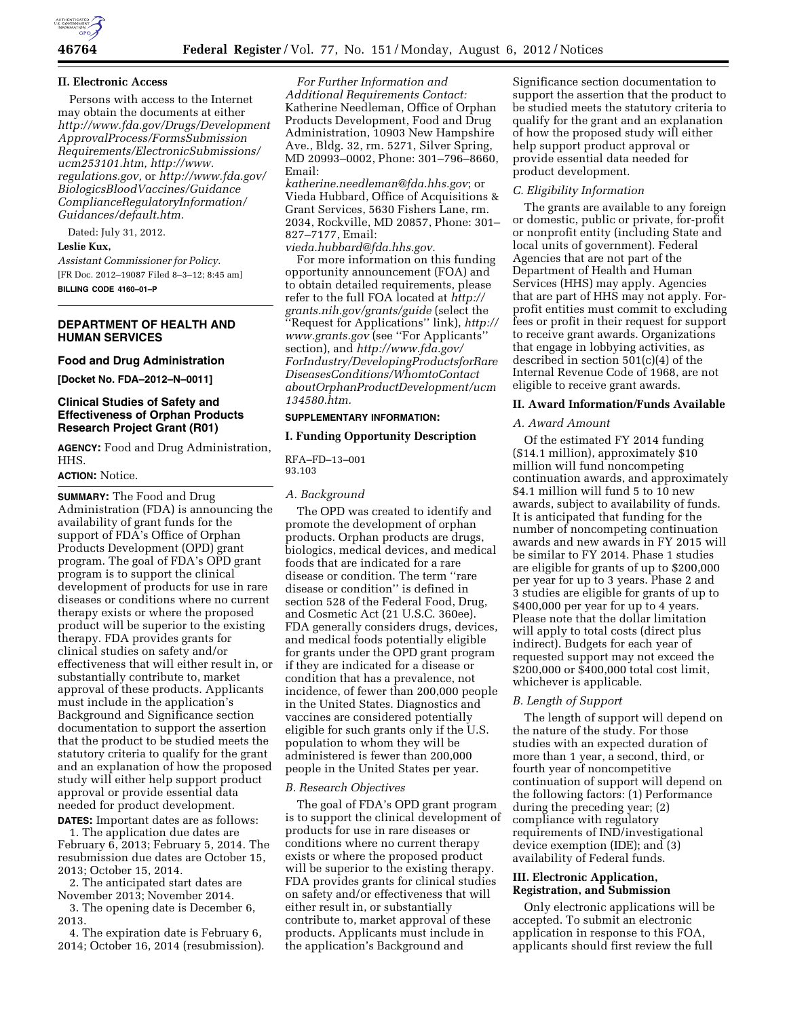

## **II. Electronic Access**

Persons with access to the Internet may obtain the documents at either *[http://www.fda.gov/Drugs/Development](http://www.fda.gov/Drugs/DevelopmentApprovalProcess/FormsSubmissionRequirements/ElectronicSubmissions/ucm253101.htm) [ApprovalProcess/FormsSubmission](http://www.fda.gov/Drugs/DevelopmentApprovalProcess/FormsSubmissionRequirements/ElectronicSubmissions/ucm253101.htm) [Requirements/ElectronicSubmissions/](http://www.fda.gov/Drugs/DevelopmentApprovalProcess/FormsSubmissionRequirements/ElectronicSubmissions/ucm253101.htm) [ucm253101.htm,](http://www.fda.gov/Drugs/DevelopmentApprovalProcess/FormsSubmissionRequirements/ElectronicSubmissions/ucm253101.htm) http://[www.](http://www.regulations.gov) [regulations.gov,](http://www.regulations.gov)* or *[http://www.fda.gov/](http://www.fda.gov/BiologicsBloodVaccines/GuidanceComplianceRegulatoryInformation/Guidances/default.htm) [BiologicsBloodVaccines/Guidance](http://www.fda.gov/BiologicsBloodVaccines/GuidanceComplianceRegulatoryInformation/Guidances/default.htm) [ComplianceRegulatoryInformation/](http://www.fda.gov/BiologicsBloodVaccines/GuidanceComplianceRegulatoryInformation/Guidances/default.htm) [Guidances/default.htm.](http://www.fda.gov/BiologicsBloodVaccines/GuidanceComplianceRegulatoryInformation/Guidances/default.htm)* 

Dated: July 31, 2012.

# **Leslie Kux,**

*Assistant Commissioner for Policy.*  [FR Doc. 2012–19087 Filed 8–3–12; 8:45 am] **BILLING CODE 4160–01–P** 

## **DEPARTMENT OF HEALTH AND HUMAN SERVICES**

# **Food and Drug Administration**

**[Docket No. FDA–2012–N–0011]** 

## **Clinical Studies of Safety and Effectiveness of Orphan Products Research Project Grant (R01)**

**AGENCY:** Food and Drug Administration, HHS.

## **ACTION:** Notice.

**SUMMARY:** The Food and Drug Administration (FDA) is announcing the availability of grant funds for the support of FDA's Office of Orphan Products Development (OPD) grant program. The goal of FDA's OPD grant program is to support the clinical development of products for use in rare diseases or conditions where no current therapy exists or where the proposed product will be superior to the existing therapy. FDA provides grants for clinical studies on safety and/or effectiveness that will either result in, or substantially contribute to, market approval of these products. Applicants must include in the application's Background and Significance section documentation to support the assertion that the product to be studied meets the statutory criteria to qualify for the grant and an explanation of how the proposed study will either help support product approval or provide essential data needed for product development.

**DATES:** Important dates are as follows: 1. The application due dates are February 6, 2013; February 5, 2014. The resubmission due dates are October 15, 2013; October 15, 2014.

2. The anticipated start dates are November 2013; November 2014.

3. The opening date is December 6, 2013.

4. The expiration date is February 6, 2014; October 16, 2014 (resubmission).

*For Further Information and Additional Requirements Contact:*  Katherine Needleman, Office of Orphan Products Development, Food and Drug Administration, 10903 New Hampshire Ave., Bldg. 32, rm. 5271, Silver Spring, MD 20993–0002, Phone: 301–796–8660, Email:

*[katherine.needleman@fda.hhs.gov](mailto:katherine.needleman@fda.hhs.gov)*; or Vieda Hubbard, Office of Acquisitions & Grant Services, 5630 Fishers Lane, rm. 2034, Rockville, MD 20857, Phone: 301– 827–7177, Email:

*[vieda.hubbard@fda.hhs.gov.](mailto:vieda.hubbard@fda.hhs.gov)* 

For more information on this funding opportunity announcement (FOA) and to obtain detailed requirements, please refer to the full FOA located at *[http://](http://grants.nih.gov/grants/guide) [grants.nih.gov/grants/guide](http://grants.nih.gov/grants/guide)* (select the ''Request for Applications'' link), *[http://](http://www.grants.gov)  [www.grants.gov](http://www.grants.gov)* (see ''For Applicants'' section), and *[http://www.fda.gov/](http://www.fda.gov/ForIndustry/DevelopingProductsforRareDiseasesConditions/WhomtoContactaboutOrphanProductDevelopment/ucm134580.htm)  [ForIndustry/DevelopingProductsforRare](http://www.fda.gov/ForIndustry/DevelopingProductsforRareDiseasesConditions/WhomtoContactaboutOrphanProductDevelopment/ucm134580.htm) [DiseasesConditions/WhomtoContact](http://www.fda.gov/ForIndustry/DevelopingProductsforRareDiseasesConditions/WhomtoContactaboutOrphanProductDevelopment/ucm134580.htm) [aboutOrphanProductDevelopment/ucm](http://www.fda.gov/ForIndustry/DevelopingProductsforRareDiseasesConditions/WhomtoContactaboutOrphanProductDevelopment/ucm134580.htm) [134580.htm.](http://www.fda.gov/ForIndustry/DevelopingProductsforRareDiseasesConditions/WhomtoContactaboutOrphanProductDevelopment/ucm134580.htm)* 

# **SUPPLEMENTARY INFORMATION:**

#### **I. Funding Opportunity Description**

RFA–FD–13–001 93.103

#### *A. Background*

The OPD was created to identify and promote the development of orphan products. Orphan products are drugs, biologics, medical devices, and medical foods that are indicated for a rare disease or condition. The term ''rare disease or condition'' is defined in section 528 of the Federal Food, Drug, and Cosmetic Act (21 U.S.C. 360ee). FDA generally considers drugs, devices, and medical foods potentially eligible for grants under the OPD grant program if they are indicated for a disease or condition that has a prevalence, not incidence, of fewer than 200,000 people in the United States. Diagnostics and vaccines are considered potentially eligible for such grants only if the U.S. population to whom they will be administered is fewer than 200,000 people in the United States per year.

#### *B. Research Objectives*

The goal of FDA's OPD grant program is to support the clinical development of products for use in rare diseases or conditions where no current therapy exists or where the proposed product will be superior to the existing therapy. FDA provides grants for clinical studies on safety and/or effectiveness that will either result in, or substantially contribute to, market approval of these products. Applicants must include in the application's Background and

Significance section documentation to support the assertion that the product to be studied meets the statutory criteria to qualify for the grant and an explanation of how the proposed study will either help support product approval or provide essential data needed for product development.

#### *C. Eligibility Information*

The grants are available to any foreign or domestic, public or private, for-profit or nonprofit entity (including State and local units of government). Federal Agencies that are not part of the Department of Health and Human Services (HHS) may apply. Agencies that are part of HHS may not apply. Forprofit entities must commit to excluding fees or profit in their request for support to receive grant awards. Organizations that engage in lobbying activities, as described in section 501(c)(4) of the Internal Revenue Code of 1968, are not eligible to receive grant awards.

## **II. Award Information/Funds Available**

#### *A. Award Amount*

Of the estimated FY 2014 funding (\$14.1 million), approximately \$10 million will fund noncompeting continuation awards, and approximately \$4.1 million will fund 5 to 10 new awards, subject to availability of funds. It is anticipated that funding for the number of noncompeting continuation awards and new awards in FY 2015 will be similar to FY 2014. Phase 1 studies are eligible for grants of up to \$200,000 per year for up to 3 years. Phase 2 and 3 studies are eligible for grants of up to \$400,000 per year for up to 4 years. Please note that the dollar limitation will apply to total costs (direct plus indirect). Budgets for each year of requested support may not exceed the \$200,000 or \$400,000 total cost limit, whichever is applicable.

#### *B. Length of Support*

The length of support will depend on the nature of the study. For those studies with an expected duration of more than 1 year, a second, third, or fourth year of noncompetitive continuation of support will depend on the following factors: (1) Performance during the preceding year; (2) compliance with regulatory requirements of IND/investigational device exemption (IDE); and (3) availability of Federal funds.

## **III. Electronic Application, Registration, and Submission**

Only electronic applications will be accepted. To submit an electronic application in response to this FOA, applicants should first review the full